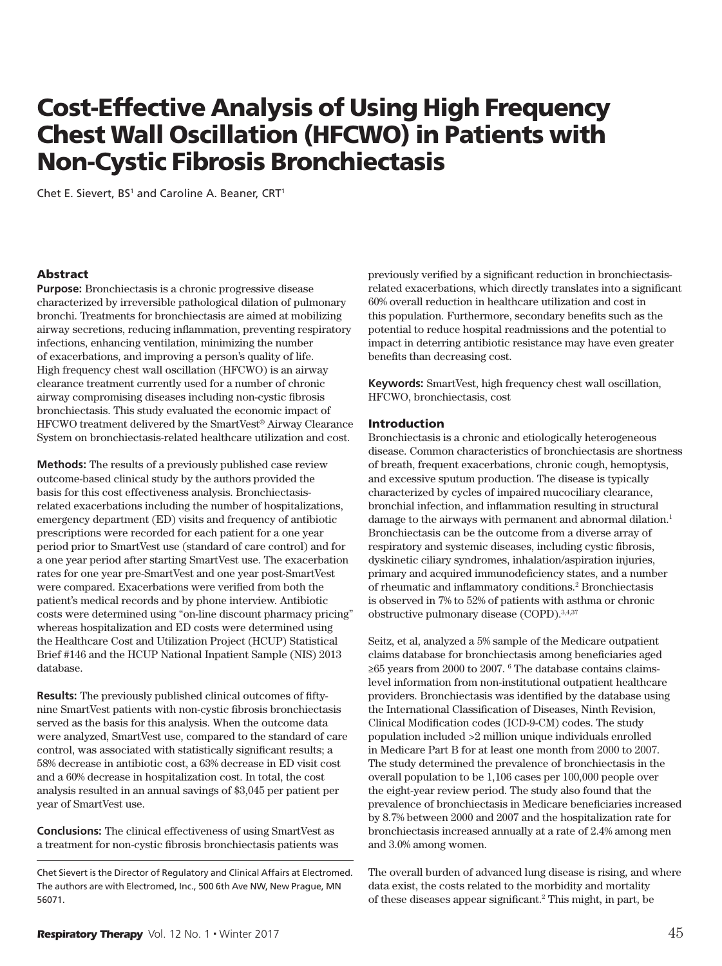# Cost-Effective Analysis of Using High Frequency Chest Wall Oscillation (HFCWO) in Patients with Non-Cystic Fibrosis Bronchiectasis

Chet E. Sievert, BS<sup>1</sup> and Caroline A. Beaner, CRT<sup>1</sup>

### **Abstract**

**Purpose:** Bronchiectasis is a chronic progressive disease characterized by irreversible pathological dilation of pulmonary bronchi. Treatments for bronchiectasis are aimed at mobilizing airway secretions, reducing infammation, preventing respiratory infections, enhancing ventilation, minimizing the number of exacerbations, and improving a person's quality of life. High frequency chest wall oscillation (HFCWO) is an airway clearance treatment currently used for a number of chronic airway compromising diseases including non-cystic fbrosis bronchiectasis. This study evaluated the economic impact of HFCWO treatment delivered by the SmartVest® Airway Clearance System on bronchiectasis-related healthcare utilization and cost.

**Methods:** The results of a previously published case review outcome-based clinical study by the authors provided the basis for this cost effectiveness analysis. Bronchiectasisrelated exacerbations including the number of hospitalizations, emergency department (ED) visits and frequency of antibiotic prescriptions were recorded for each patient for a one year period prior to SmartVest use (standard of care control) and for a one year period after starting SmartVest use. The exacerbation rates for one year pre-SmartVest and one year post-SmartVest were compared. Exacerbations were verifed from both the patient's medical records and by phone interview. Antibiotic costs were determined using "on-line discount pharmacy pricing" whereas hospitalization and ED costs were determined using the Healthcare Cost and Utilization Project (HCUP) Statistical Brief #146 and the HCUP National Inpatient Sample (NIS) 2013 database.

**Results:** The previously published clinical outcomes of fftynine SmartVest patients with non-cystic fbrosis bronchiectasis served as the basis for this analysis. When the outcome data were analyzed, SmartVest use, compared to the standard of care control, was associated with statistically signifcant results; a 58% decrease in antibiotic cost, a 63% decrease in ED visit cost and a 60% decrease in hospitalization cost. In total, the cost analysis resulted in an annual savings of \$3,045 per patient per year of SmartVest use.

**Conclusions:** The clinical effectiveness of using SmartVest as a treatment for non-cystic fbrosis bronchiectasis patients was

Chet Sievert is the Director of Regulatory and Clinical Affairs at Electromed. The authors are with Electromed, Inc., 500 6th Ave NW, New Prague, MN 56071.

previously verifed by a signifcant reduction in bronchiectasisrelated exacerbations, which directly translates into a signifcant 60% overall reduction in healthcare utilization and cost in this population. Furthermore, secondary benefts such as the potential to reduce hospital readmissions and the potential to impact in deterring antibiotic resistance may have even greater benefts than decreasing cost.

**Keywords:** SmartVest, high frequency chest wall oscillation, HFCWO, bronchiectasis, cost

#### Introduction

Bronchiectasis is a chronic and etiologically heterogeneous disease. Common characteristics of bronchiectasis are shortness of breath, frequent exacerbations, chronic cough, hemoptysis, and excessive sputum production. The disease is typically characterized by cycles of impaired mucociliary clearance, bronchial infection, and infammation resulting in structural damage to the airways with permanent and abnormal dilation.<sup>1</sup> Bronchiectasis can be the outcome from a diverse array of respiratory and systemic diseases, including cystic fbrosis, dyskinetic ciliary syndromes, inhalation/aspiration injuries, primary and acquired immunodefciency states, and a number of rheumatic and inflammatory conditions.<sup>2</sup> Bronchiectasis is observed in 7% to 52% of patients with asthma or chronic obstructive pulmonary disease (COPD).3,4,37

Seitz, et al, analyzed a 5% sample of the Medicare outpatient claims database for bronchiectasis among benefciaries aged ≥65 years from 2000 to 2007. 6 The database contains claimslevel information from non-institutional outpatient healthcare providers. Bronchiectasis was identifed by the database using the International Classifcation of Diseases, Ninth Revision, Clinical Modifcation codes (ICD-9-CM) codes. The study population included >2 million unique individuals enrolled in Medicare Part B for at least one month from 2000 to 2007. The study determined the prevalence of bronchiectasis in the overall population to be 1,106 cases per 100,000 people over the eight-year review period. The study also found that the prevalence of bronchiectasis in Medicare benefciaries increased by 8.7% between 2000 and 2007 and the hospitalization rate for bronchiectasis increased annually at a rate of 2.4% among men and 3.0% among women.

The overall burden of advanced lung disease is rising, and where data exist, the costs related to the morbidity and mortality of these diseases appear signifcant.2 This might, in part, be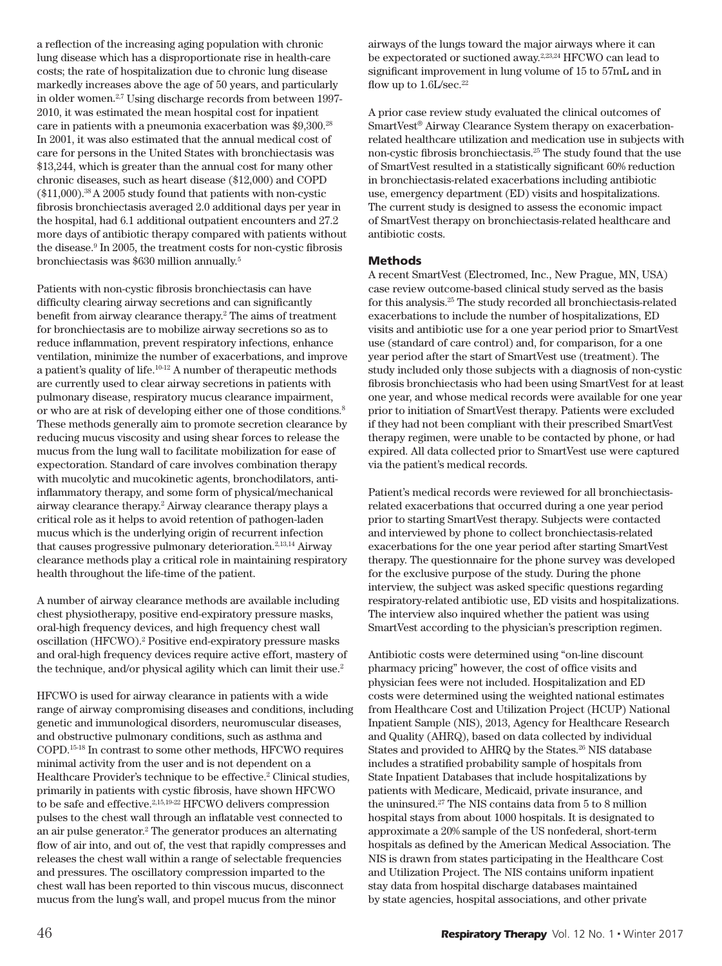a refection of the increasing aging population with chronic lung disease which has a disproportionate rise in health-care costs; the rate of hospitalization due to chronic lung disease markedly increases above the age of 50 years, and particularly in older women.<sup>2,7</sup> Using discharge records from between 1997-2010, it was estimated the mean hospital cost for inpatient care in patients with a pneumonia exacerbation was \$9,300.28 In 2001, it was also estimated that the annual medical cost of care for persons in the United States with bronchiectasis was \$13,244, which is greater than the annual cost for many other chronic diseases, such as heart disease (\$12,000) and COPD  $($11,000).$ <sup>38</sup> A 2005 study found that patients with non-cystic fbrosis bronchiectasis averaged 2.0 additional days per year in the hospital, had 6.1 additional outpatient encounters and 27.2 more days of antibiotic therapy compared with patients without the disease.<sup>9</sup> In 2005, the treatment costs for non-cystic fibrosis bronchiectasis was \$630 million annually.5

Patients with non-cystic fbrosis bronchiectasis can have difficulty clearing airway secretions and can significantly beneft from airway clearance therapy.2 The aims of treatment for bronchiectasis are to mobilize airway secretions so as to reduce infammation, prevent respiratory infections, enhance ventilation, minimize the number of exacerbations, and improve a patient's quality of life.10-12 A number of therapeutic methods are currently used to clear airway secretions in patients with pulmonary disease, respiratory mucus clearance impairment, or who are at risk of developing either one of those conditions.8 These methods generally aim to promote secretion clearance by reducing mucus viscosity and using shear forces to release the mucus from the lung wall to facilitate mobilization for ease of expectoration. Standard of care involves combination therapy with mucolytic and mucokinetic agents, bronchodilators, antiinfammatory therapy, and some form of physical/mechanical airway clearance therapy.2 Airway clearance therapy plays a critical role as it helps to avoid retention of pathogen-laden mucus which is the underlying origin of recurrent infection that causes progressive pulmonary deterioration.<sup>2,13,14</sup> Airway clearance methods play a critical role in maintaining respiratory health throughout the life-time of the patient.

A number of airway clearance methods are available including chest physiotherapy, positive end-expiratory pressure masks, oral-high frequency devices, and high frequency chest wall oscillation (HFCWO).<sup>2</sup> Positive end-expiratory pressure masks and oral-high frequency devices require active effort, mastery of the technique, and/or physical agility which can limit their use.<sup>2</sup>

HFCWO is used for airway clearance in patients with a wide range of airway compromising diseases and conditions, including genetic and immunological disorders, neuromuscular diseases, and obstructive pulmonary conditions, such as asthma and COPD.15-18 In contrast to some other methods, HFCWO requires minimal activity from the user and is not dependent on a Healthcare Provider's technique to be effective.<sup>2</sup> Clinical studies, primarily in patients with cystic fbrosis, have shown HFCWO to be safe and effective.2,15,19-22 HFCWO delivers compression pulses to the chest wall through an infatable vest connected to an air pulse generator.<sup>2</sup> The generator produces an alternating fow of air into, and out of, the vest that rapidly compresses and releases the chest wall within a range of selectable frequencies and pressures. The oscillatory compression imparted to the chest wall has been reported to thin viscous mucus, disconnect mucus from the lung's wall, and propel mucus from the minor

airways of the lungs toward the major airways where it can be expectorated or suctioned away.<sup>2,23,24</sup> HFCWO can lead to signifcant improvement in lung volume of 15 to 57mL and in flow up to  $1.6$ L/sec.<sup>22</sup>

A prior case review study evaluated the clinical outcomes of SmartVest® Airway Clearance System therapy on exacerbationrelated healthcare utilization and medication use in subjects with non-cystic fbrosis bronchiectasis.25 The study found that the use of SmartVest resulted in a statistically signifcant 60% reduction in bronchiectasis-related exacerbations including antibiotic use, emergency department (ED) visits and hospitalizations. The current study is designed to assess the economic impact of SmartVest therapy on bronchiectasis-related healthcare and antibiotic costs.

## Methods

A recent SmartVest (Electromed, Inc., New Prague, MN, USA) case review outcome-based clinical study served as the basis for this analysis.25 The study recorded all bronchiectasis-related exacerbations to include the number of hospitalizations, ED visits and antibiotic use for a one year period prior to SmartVest use (standard of care control) and, for comparison, for a one year period after the start of SmartVest use (treatment). The study included only those subjects with a diagnosis of non-cystic fbrosis bronchiectasis who had been using SmartVest for at least one year, and whose medical records were available for one year prior to initiation of SmartVest therapy. Patients were excluded if they had not been compliant with their prescribed SmartVest therapy regimen, were unable to be contacted by phone, or had expired. All data collected prior to SmartVest use were captured via the patient's medical records.

Patient's medical records were reviewed for all bronchiectasisrelated exacerbations that occurred during a one year period prior to starting SmartVest therapy. Subjects were contacted and interviewed by phone to collect bronchiectasis-related exacerbations for the one year period after starting SmartVest therapy. The questionnaire for the phone survey was developed for the exclusive purpose of the study. During the phone interview, the subject was asked specifc questions regarding respiratory-related antibiotic use, ED visits and hospitalizations. The interview also inquired whether the patient was using SmartVest according to the physician's prescription regimen.

Antibiotic costs were determined using "on-line discount pharmacy pricing" however, the cost of office visits and physician fees were not included. Hospitalization and ED costs were determined using the weighted national estimates from Healthcare Cost and Utilization Project (HCUP) National Inpatient Sample (NIS), 2013, Agency for Healthcare Research and Quality (AHRQ), based on data collected by individual States and provided to AHRQ by the States.<sup>26</sup> NIS database includes a stratifed probability sample of hospitals from State Inpatient Databases that include hospitalizations by patients with Medicare, Medicaid, private insurance, and the uninsured.27 The NIS contains data from 5 to 8 million hospital stays from about 1000 hospitals. It is designated to approximate a 20% sample of the US nonfederal, short-term hospitals as defned by the American Medical Association. The NIS is drawn from states participating in the Healthcare Cost and Utilization Project. The NIS contains uniform inpatient stay data from hospital discharge databases maintained by state agencies, hospital associations, and other private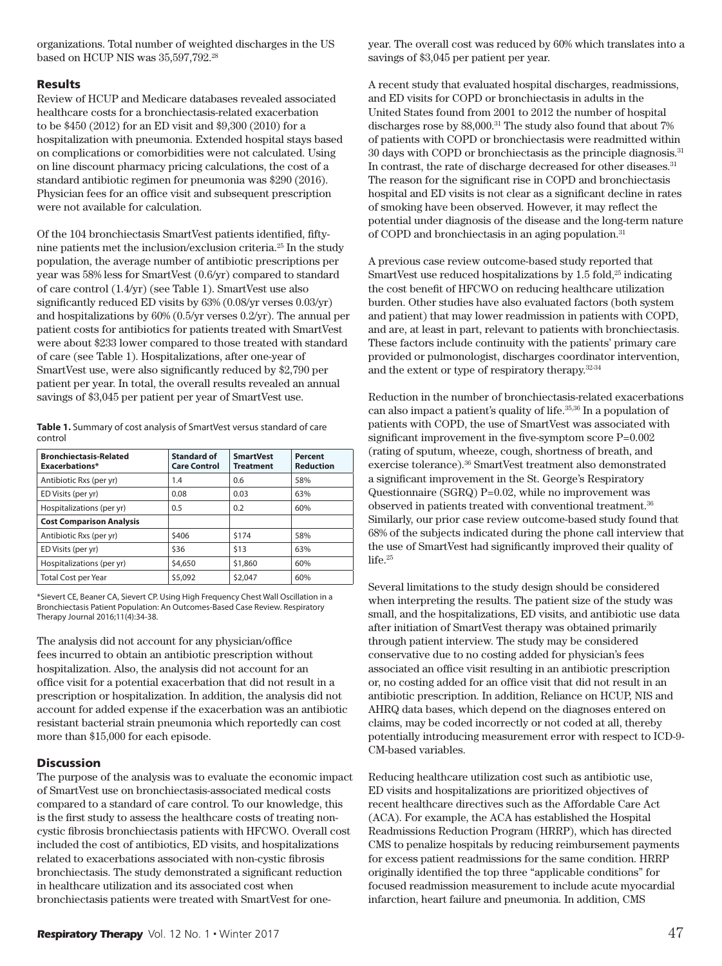organizations. Total number of weighted discharges in the US based on HCUP NIS was 35,597,792.28

# Results

Review of HCUP and Medicare databases revealed associated healthcare costs for a bronchiectasis-related exacerbation to be \$450 (2012) for an ED visit and \$9,300 (2010) for a hospitalization with pneumonia. Extended hospital stays based on complications or comorbidities were not calculated. Using on line discount pharmacy pricing calculations, the cost of a standard antibiotic regimen for pneumonia was \$290 (2016). Physician fees for an office visit and subsequent prescription were not available for calculation.

Of the 104 bronchiectasis SmartVest patients identifed, fftynine patients met the inclusion/exclusion criteria.25 In the study population, the average number of antibiotic prescriptions per year was 58% less for SmartVest (0.6/yr) compared to standard of care control (1.4/yr) (see Table 1). SmartVest use also signifcantly reduced ED visits by 63% (0.08/yr verses 0.03/yr) and hospitalizations by 60% (0.5/yr verses 0.2/yr). The annual per patient costs for antibiotics for patients treated with SmartVest were about \$233 lower compared to those treated with standard of care (see Table 1). Hospitalizations, after one-year of SmartVest use, were also signifcantly reduced by \$2,790 per patient per year. In total, the overall results revealed an annual savings of \$3,045 per patient per year of SmartVest use.

**Table 1.** Summary of cost analysis of SmartVest versus standard of care control

| <b>Bronchiectasis-Related</b><br><b>Exacerbations*</b> | <b>Standard of</b><br><b>Care Control</b> | <b>SmartVest</b><br><b>Treatment</b> | Percent<br><b>Reduction</b> |
|--------------------------------------------------------|-------------------------------------------|--------------------------------------|-----------------------------|
| Antibiotic Rxs (per yr)                                | 1.4                                       | 0.6                                  | 58%                         |
| ED Visits (per yr)                                     | 0.08                                      | 0.03                                 | 63%                         |
| Hospitalizations (per yr)                              | 0.5                                       | 0.2                                  | 60%                         |
| <b>Cost Comparison Analysis</b>                        |                                           |                                      |                             |
| Antibiotic Rxs (per yr)                                | \$406                                     | \$174                                | 58%                         |
| ED Visits (per yr)                                     | \$36                                      | \$13                                 | 63%                         |
| Hospitalizations (per yr)                              | \$4,650                                   | \$1,860                              | 60%                         |
| Total Cost per Year                                    | \$5,092                                   | \$2,047                              | 60%                         |

\*Sievert CE, Beaner CA, Sievert CP. Using High Frequency Chest Wall Oscillation in a Bronchiectasis Patient Population: An Outcomes-Based Case Review. Respiratory Therapy Journal 2016;11(4):34-38.

The analysis did not account for any physician/office fees incurred to obtain an antibiotic prescription without hospitalization. Also, the analysis did not account for an offce visit for a potential exacerbation that did not result in a prescription or hospitalization. In addition, the analysis did not account for added expense if the exacerbation was an antibiotic resistant bacterial strain pneumonia which reportedly can cost more than \$15,000 for each episode.

# **Discussion**

The purpose of the analysis was to evaluate the economic impact of SmartVest use on bronchiectasis-associated medical costs compared to a standard of care control. To our knowledge, this is the frst study to assess the healthcare costs of treating noncystic fbrosis bronchiectasis patients with HFCWO. Overall cost included the cost of antibiotics, ED visits, and hospitalizations related to exacerbations associated with non-cystic fbrosis bronchiectasis. The study demonstrated a signifcant reduction in healthcare utilization and its associated cost when bronchiectasis patients were treated with SmartVest for oneyear. The overall cost was reduced by 60% which translates into a savings of \$3,045 per patient per year.

A recent study that evaluated hospital discharges, readmissions, and ED visits for COPD or bronchiectasis in adults in the United States found from 2001 to 2012 the number of hospital discharges rose by 88,000.<sup>31</sup> The study also found that about 7% of patients with COPD or bronchiectasis were readmitted within 30 days with COPD or bronchiectasis as the principle diagnosis.31 In contrast, the rate of discharge decreased for other diseases.<sup>31</sup> The reason for the signifcant rise in COPD and bronchiectasis hospital and ED visits is not clear as a signifcant decline in rates of smoking have been observed. However, it may refect the potential under diagnosis of the disease and the long-term nature of COPD and bronchiectasis in an aging population.<sup>31</sup>

A previous case review outcome-based study reported that SmartVest use reduced hospitalizations by  $1.5$  fold,<sup>25</sup> indicating the cost beneft of HFCWO on reducing healthcare utilization burden. Other studies have also evaluated factors (both system and patient) that may lower readmission in patients with COPD, and are, at least in part, relevant to patients with bronchiectasis. These factors include continuity with the patients' primary care provided or pulmonologist, discharges coordinator intervention, and the extent or type of respiratory therapy.32-34

Reduction in the number of bronchiectasis-related exacerbations can also impact a patient's quality of life.35,36 In a population of patients with COPD, the use of SmartVest was associated with signifcant improvement in the fve-symptom score P=0.002 (rating of sputum, wheeze, cough, shortness of breath, and exercise tolerance).36 SmartVest treatment also demonstrated a signifcant improvement in the St. George's Respiratory Questionnaire (SGRQ) P=0.02, while no improvement was observed in patients treated with conventional treatment.36 Similarly, our prior case review outcome-based study found that 68% of the subjects indicated during the phone call interview that the use of SmartVest had signifcantly improved their quality of life.25

Several limitations to the study design should be considered when interpreting the results. The patient size of the study was small, and the hospitalizations, ED visits, and antibiotic use data after initiation of SmartVest therapy was obtained primarily through patient interview. The study may be considered conservative due to no costing added for physician's fees associated an office visit resulting in an antibiotic prescription or, no costing added for an offce visit that did not result in an antibiotic prescription. In addition, Reliance on HCUP, NIS and AHRQ data bases, which depend on the diagnoses entered on claims, may be coded incorrectly or not coded at all, thereby potentially introducing measurement error with respect to ICD-9- CM-based variables.

Reducing healthcare utilization cost such as antibiotic use, ED visits and hospitalizations are prioritized objectives of recent healthcare directives such as the Affordable Care Act (ACA). For example, the ACA has established the Hospital Readmissions Reduction Program (HRRP), which has directed CMS to penalize hospitals by reducing reimbursement payments for excess patient readmissions for the same condition. HRRP originally identifed the top three "applicable conditions" for focused readmission measurement to include acute myocardial infarction, heart failure and pneumonia. In addition, CMS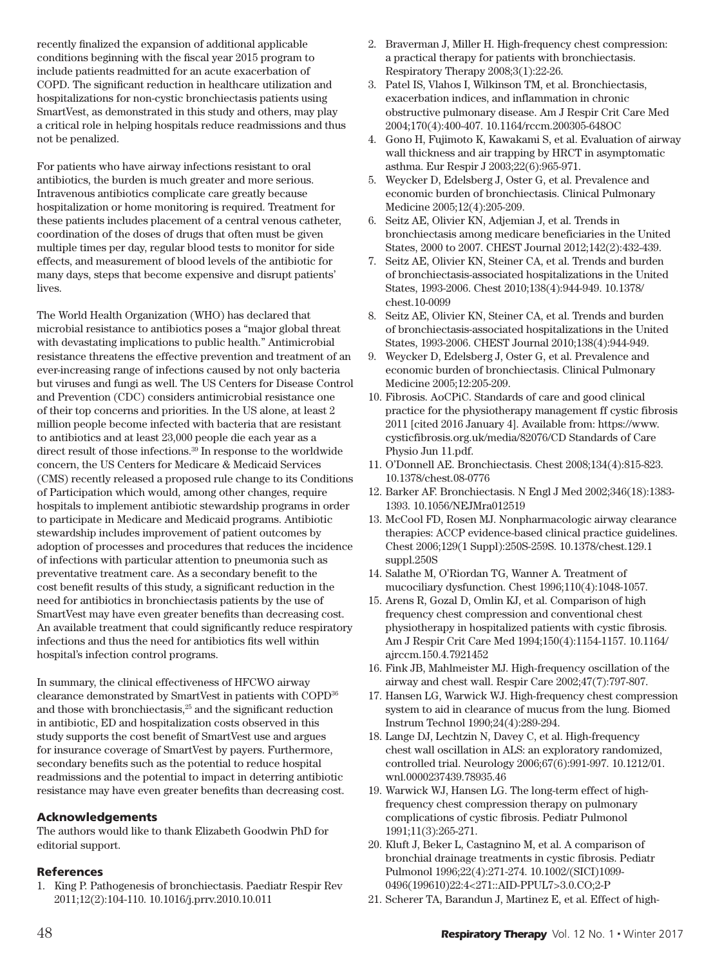recently fnalized the expansion of additional applicable conditions beginning with the fscal year 2015 program to include patients readmitted for an acute exacerbation of COPD. The signifcant reduction in healthcare utilization and hospitalizations for non-cystic bronchiectasis patients using SmartVest, as demonstrated in this study and others, may play a critical role in helping hospitals reduce readmissions and thus not be penalized.

For patients who have airway infections resistant to oral antibiotics, the burden is much greater and more serious. Intravenous antibiotics complicate care greatly because hospitalization or home monitoring is required. Treatment for these patients includes placement of a central venous catheter, coordination of the doses of drugs that often must be given multiple times per day, regular blood tests to monitor for side effects, and measurement of blood levels of the antibiotic for many days, steps that become expensive and disrupt patients' lives.

The World Health Organization (WHO) has declared that microbial resistance to antibiotics poses a "major global threat with devastating implications to public health." Antimicrobial resistance threatens the effective prevention and treatment of an ever-increasing range of infections caused by not only bacteria but viruses and fungi as well. The US Centers for Disease Control and Prevention (CDC) considers antimicrobial resistance one of their top concerns and priorities. In the US alone, at least 2 million people become infected with bacteria that are resistant to antibiotics and at least 23,000 people die each year as a direct result of those infections. $^{\rm 39}$  In response to the worldwide concern, the US Centers for Medicare & Medicaid Services (CMS) recently released a proposed rule change to its Conditions of Participation which would, among other changes, require hospitals to implement antibiotic stewardship programs in order to participate in Medicare and Medicaid programs. Antibiotic stewardship includes improvement of patient outcomes by adoption of processes and procedures that reduces the incidence of infections with particular attention to pneumonia such as preventative treatment care. As a secondary beneft to the cost beneft results of this study, a signifcant reduction in the need for antibiotics in bronchiectasis patients by the use of SmartVest may have even greater benefts than decreasing cost. An available treatment that could signifcantly reduce respiratory infections and thus the need for antibiotics fts well within hospital's infection control programs.

In summary, the clinical effectiveness of HFCWO airway clearance demonstrated by SmartVest in patients with COPD36 and those with bronchiectasis,<sup>25</sup> and the significant reduction in antibiotic, ED and hospitalization costs observed in this study supports the cost beneft of SmartVest use and argues for insurance coverage of SmartVest by payers. Furthermore, secondary benefts such as the potential to reduce hospital readmissions and the potential to impact in deterring antibiotic resistance may have even greater benefts than decreasing cost.

# Acknowledgements

The authors would like to thank Elizabeth Goodwin PhD for editorial support.

# References

1. King P. Pathogenesis of bronchiectasis. Paediatr Respir Rev 2011;12(2):104-110. 10.1016/j.prrv.2010.10.011

- 2. Braverman J, Miller H. High-frequency chest compression: a practical therapy for patients with bronchiectasis. Respiratory Therapy 2008;3(1):22-26.
- 3. Patel IS, Vlahos I, Wilkinson TM, et al. Bronchiectasis, exacerbation indices, and inflammation in chronic obstructive pulmonary disease. Am J Respir Crit Care Med 2004;170(4):400-407. 10.1164/rccm.200305-648OC
- 4. Gono H, Fujimoto K, Kawakami S, et al. Evaluation of airway wall thickness and air trapping by HRCT in asymptomatic asthma. Eur Respir J 2003;22(6):965-971.
- 5. Weycker D, Edelsberg J, Oster G, et al. Prevalence and economic burden of bronchiectasis. Clinical Pulmonary Medicine 2005;12(4):205-209.
- 6. Seitz AE, Olivier KN, Adjemian J, et al. Trends in bronchiectasis among medicare beneficiaries in the United States, 2000 to 2007. CHEST Journal 2012;142(2):432-439.
- 7. Seitz AE, Olivier KN, Steiner CA, et al. Trends and burden of bronchiectasis-associated hospitalizations in the United States, 1993-2006. Chest 2010;138(4):944-949. 10.1378/ chest.10-0099
- 8. Seitz AE, Olivier KN, Steiner CA, et al. Trends and burden of bronchiectasis-associated hospitalizations in the United States, 1993-2006. CHEST Journal 2010;138(4):944-949.
- 9. Weycker D, Edelsberg J, Oster G, et al. Prevalence and economic burden of bronchiectasis. Clinical Pulmonary Medicine 2005;12:205-209.
- 10. Fibrosis. AoCPiC. Standards of care and good clinical practice for the physiotherapy management ff cystic fibrosis 2011 [cited 2016 January 4]. Available from: https://www. cysticfibrosis.org.uk/media/82076/CD Standards of Care Physio Jun 11.pdf.
- 11. O'Donnell AE. Bronchiectasis. Chest 2008;134(4):815-823. 10.1378/chest.08-0776
- 12. Barker AF. Bronchiectasis. N Engl J Med 2002;346(18):1383- 1393. 10.1056/NEJMra012519
- 13. McCool FD, Rosen MJ. Nonpharmacologic airway clearance therapies: ACCP evidence-based clinical practice guidelines. Chest 2006;129(1 Suppl):250S-259S. 10.1378/chest.129.1 suppl.250S
- 14. Salathe M, O'Riordan TG, Wanner A. Treatment of mucociliary dysfunction. Chest 1996;110(4):1048-1057.
- 15. Arens R, Gozal D, Omlin KJ, et al. Comparison of high frequency chest compression and conventional chest physiotherapy in hospitalized patients with cystic fibrosis. Am J Respir Crit Care Med 1994;150(4):1154-1157. 10.1164/ ajrccm.150.4.7921452
- 16. Fink JB, Mahlmeister MJ. High-frequency oscillation of the airway and chest wall. Respir Care 2002;47(7):797-807.
- 17. Hansen LG, Warwick WJ. High-frequency chest compression system to aid in clearance of mucus from the lung. Biomed Instrum Technol 1990;24(4):289-294.
- 18. Lange DJ, Lechtzin N, Davey C, et al. High-frequency chest wall oscillation in ALS: an exploratory randomized, controlled trial. Neurology 2006;67(6):991-997. 10.1212/01. wnl.0000237439.78935.46
- 19. Warwick WJ, Hansen LG. The long-term effect of highfrequency chest compression therapy on pulmonary complications of cystic fibrosis. Pediatr Pulmonol 1991;11(3):265-271.
- 20. Kluft J, Beker L, Castagnino M, et al. A comparison of bronchial drainage treatments in cystic fibrosis. Pediatr Pulmonol 1996;22(4):271-274. 10.1002/(SICI)1099- 0496(199610)22:4<271::AID-PPUL7>3.0.CO;2-P
- 21. Scherer TA, Barandun J, Martinez E, et al. Effect of high-